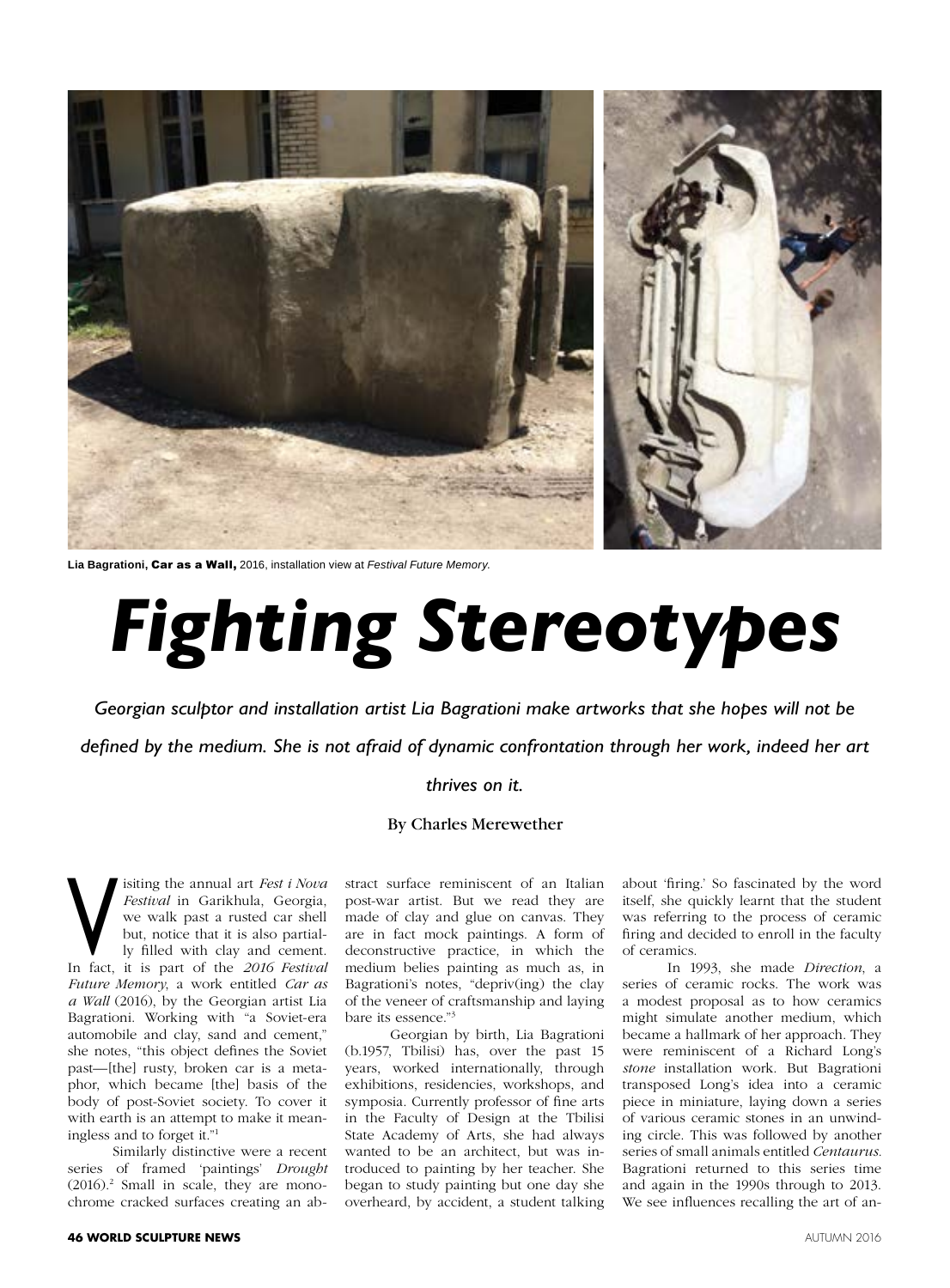

**Lia Bagrationi,** Car as a Wall, 2016, installation view at *Festival Future Memory*.

## *Fighting Stereotypes*

*Georgian sculptor and installation artist Lia Bagrationi make artworks that she hopes will not be defined by the medium. She is not afraid of dynamic confrontation through her work, indeed her art* 

## *thrives on it.*

## By Charles Merewether

Visiting the annual art *Fest i Nova*<br> *Festival* in Garikhula, Georgia,<br>
we walk past a rusted car shell<br>
but, notice that it is also partial-<br>
In fact, it is part of the *2016 Festival Festival* in Garikhula, Georgia, we walk past a rusted car shell but, notice that it is also partially filled with clay and cement. *Future Memory*, a work entitled *Car as a Wall* (2016), by the Georgian artist Lia Bagrationi. Working with "a Soviet-era automobile and clay, sand and cement," she notes, "this object defines the Soviet past—[the] rusty, broken car is a metaphor, which became [the] basis of the body of post-Soviet society. To cover it with earth is an attempt to make it meaningless and to forget it."1

Similarly distinctive were a recent series of framed 'paintings' *Drought*  (2016).2 Small in scale, they are monochrome cracked surfaces creating an ab-

stract surface reminiscent of an Italian post-war artist. But we read they are made of clay and glue on canvas. They are in fact mock paintings. A form of deconstructive practice, in which the medium belies painting as much as, in Bagrationi's notes, "depriv(ing) the clay of the veneer of craftsmanship and laying bare its essence."3

Georgian by birth, Lia Bagrationi (b.1957, Tbilisi) has, over the past 15 years, worked internationally, through exhibitions, residencies, workshops, and symposia. Currently professor of fine arts in the Faculty of Design at the Tbilisi State Academy of Arts, she had always wanted to be an architect, but was introduced to painting by her teacher. She began to study painting but one day she overheard, by accident, a student talking

about 'firing.' So fascinated by the word itself, she quickly learnt that the student was referring to the process of ceramic firing and decided to enroll in the faculty of ceramics.

In 1993, she made *Direction*, a series of ceramic rocks. The work was a modest proposal as to how ceramics might simulate another medium, which became a hallmark of her approach. They were reminiscent of a Richard Long's *stone* installation work. But Bagrationi transposed Long's idea into a ceramic piece in miniature, laying down a series of various ceramic stones in an unwinding circle. This was followed by another series of small animals entitled *Centaurus.*  Bagrationi returned to this series time and again in the 1990s through to 2013. We see influences recalling the art of an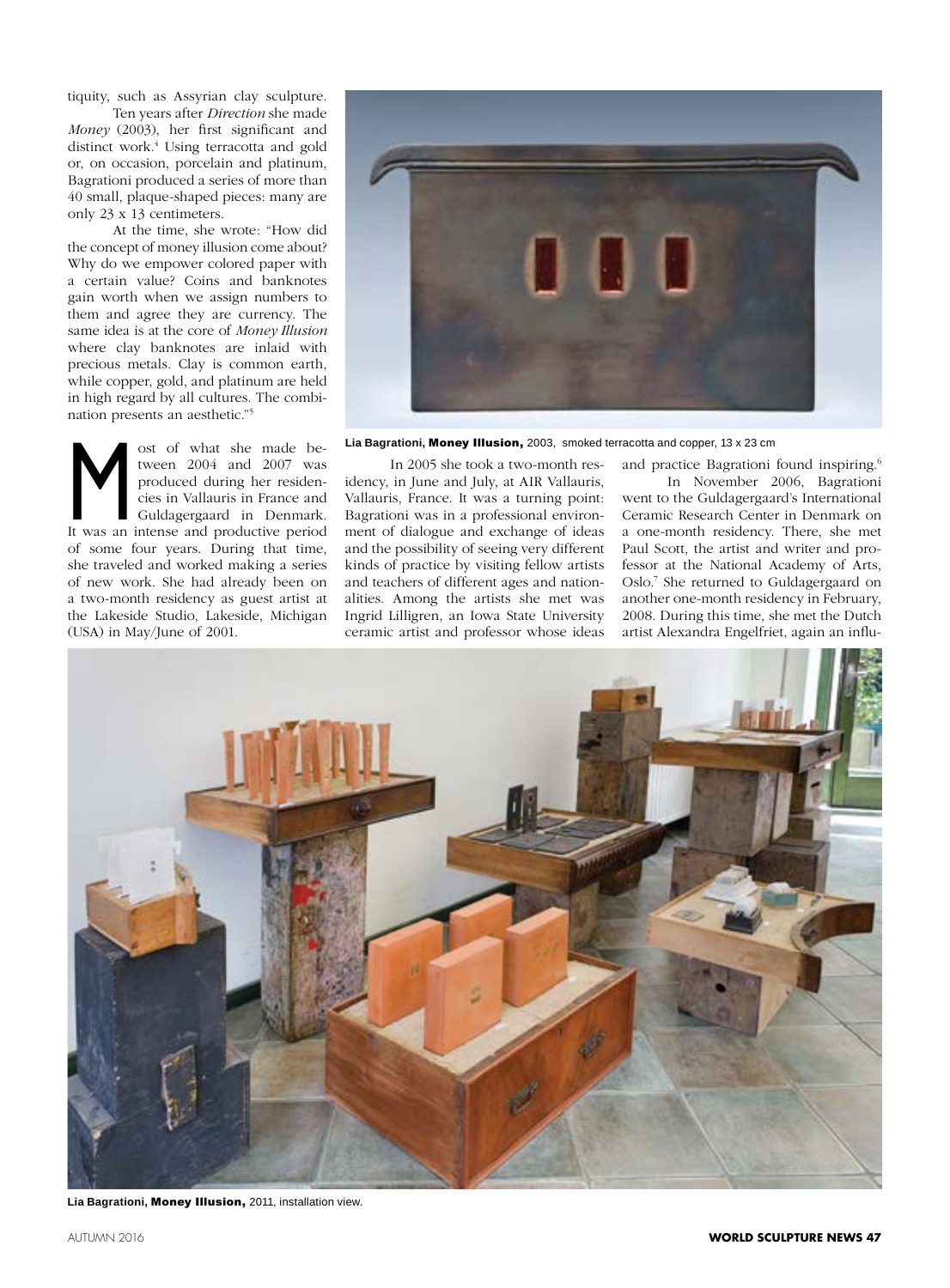tiquity, such as Assyrian clay sculpture.

Ten years after *Direction* she made *Money* (2003), her first significant and distinct work.4 Using terracotta and gold or, on occasion, porcelain and platinum, Bagrationi produced a series of more than 40 small, plaque-shaped pieces: many are only 23 x 13 centimeters.

At the time, she wrote: "How did the concept of money illusion come about? Why do we empower colored paper with a certain value? Coins and banknotes gain worth when we assign numbers to them and agree they are currency. The same idea is at the core of *Money Illusion*  where clay banknotes are inlaid with precious metals. Clay is common earth, while copper, gold, and platinum are held in high regard by all cultures. The combination presents an aesthetic."5

Most of what she made be-<br>tween 2004 and 2007 was<br>produced during her residen-<br>cies in Vallauris in France and<br>Guldagergaard in Denmark.<br>It was an intense and productive period tween 2004 and 2007 was produced during her residencies in Vallauris in France and Guldagergaard in Denmark. of some four years. During that time, she traveled and worked making a series of new work. She had already been on a two-month residency as guest artist at the Lakeside Studio, Lakeside, Michigan (USA) in May/June of 2001.



**Lia Bagrationi,** Money Illusion, 2003, smoked terracotta and copper, 13 x 23 cm

In 2005 she took a two-month residency, in June and July, at AIR Vallauris, Vallauris, France. It was a turning point: Bagrationi was in a professional environment of dialogue and exchange of ideas and the possibility of seeing very different kinds of practice by visiting fellow artists and teachers of different ages and nationalities. Among the artists she met was Ingrid Lilligren, an Iowa State University ceramic artist and professor whose ideas

and practice Bagrationi found inspiring.<sup>6</sup> In November 2006, Bagrationi went to the Guldagergaard's International Ceramic Research Center in Denmark on a one-month residency. There, she met Paul Scott, the artist and writer and professor at the National Academy of Arts, Oslo.7 She returned to Guldagergaard on another one-month residency in February, 2008. During this time, she met the Dutch artist Alexandra Engelfriet, again an influ-



**Lia Bagrationi,** Money Illusion, 2011, installation view.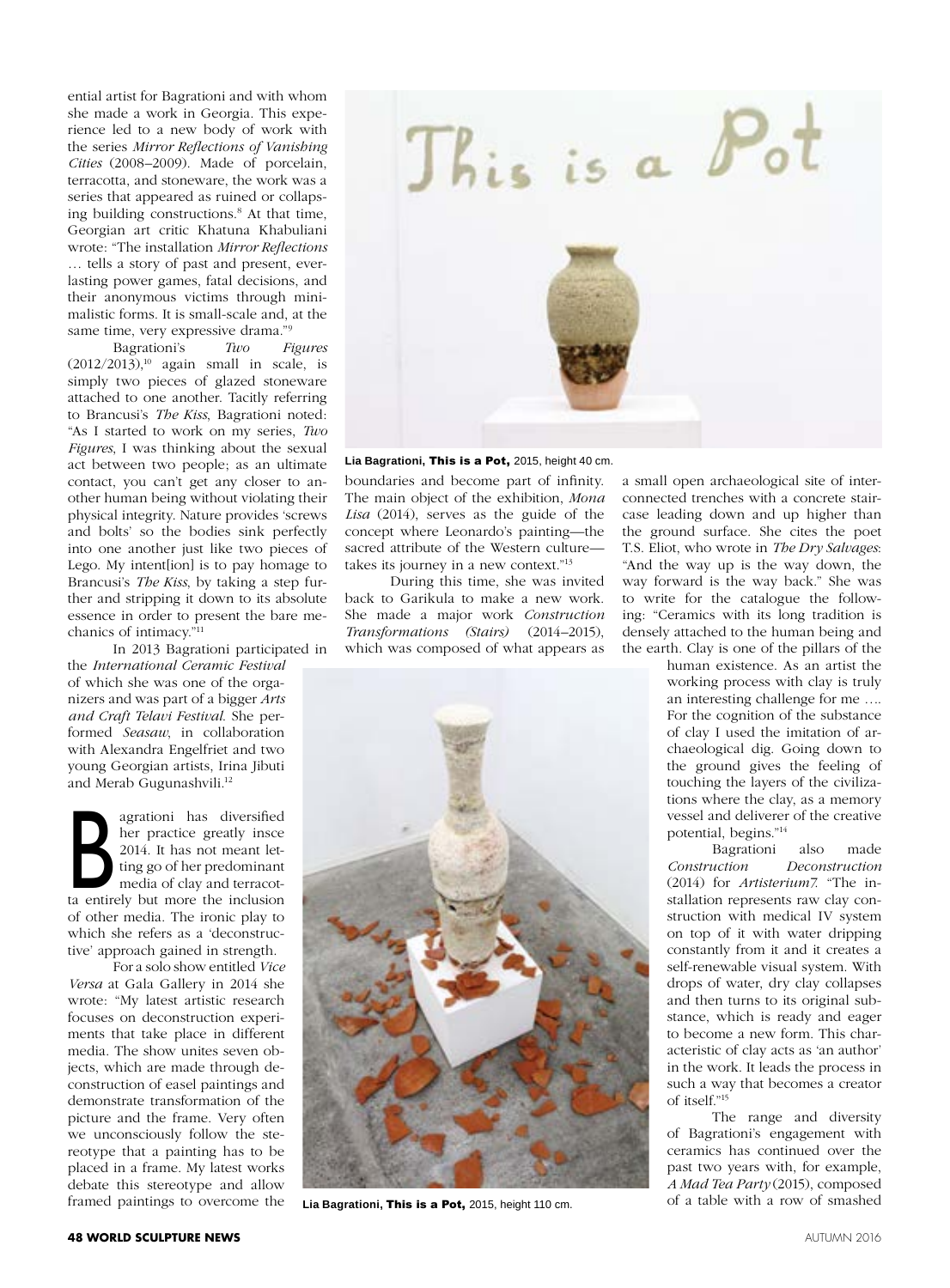ential artist for Bagrationi and with whom she made a work in Georgia. This experience led to a new body of work with the series *Mirror Reflections of Vanishing Cities* (2008–2009). Made of porcelain, terracotta, and stoneware, the work was a series that appeared as ruined or collapsing building constructions.8 At that time, Georgian art critic Khatuna Khabuliani wrote: "The installation *Mirror Reflections*  … tells a story of past and present, everlasting power games, fatal decisions, and their anonymous victims through minimalistic forms. It is small-scale and, at the same time, very expressive drama."9

Bagrationi's *Two Figures*  $(2012/2013)$ ,<sup>10</sup> again small in scale, is simply two pieces of glazed stoneware attached to one another. Tacitly referring to Brancusi's *The Kiss*, Bagrationi noted: "As I started to work on my series, *Two Figures*, I was thinking about the sexual act between two people; as an ultimate contact, you can't get any closer to another human being without violating their physical integrity. Nature provides 'screws and bolts' so the bodies sink perfectly into one another just like two pieces of Lego. My intent[ion] is to pay homage to Brancusi's *The Kiss*, by taking a step further and stripping it down to its absolute essence in order to present the bare mechanics of intimacy."11

In 2013 Bagrationi participated in the *International Ceramic Festival*  of which she was one of the organizers and was part of a bigger *Arts and Craft Telavi Festival*. She performed *Seasaw*, in collaboration with Alexandra Engelfriet and two young Georgian artists, Irina Jibuti and Merab Gugunashvili.<sup>12</sup>

agrationi has diversified<br>
her practice greatly insce<br>
2014. It has not meant let-<br>
ting go of her predominant<br>
media of clay and terracot-<br>
ta entirely but more the inclusion her practice greatly insce 2014. It has not meant letting go of her predominant media of clay and terracotof other media. The ironic play to which she refers as a 'deconstructive' approach gained in strength.

For a solo show entitled *Vice Versa* at Gala Gallery in 2014 she wrote: "My latest artistic research focuses on deconstruction experiments that take place in different media. The show unites seven objects, which are made through deconstruction of easel paintings and demonstrate transformation of the picture and the frame. Very often we unconsciously follow the stereotype that a painting has to be placed in a frame. My latest works debate this stereotype and allow framed paintings to overcome the



**Lia Bagrationi,** This is a Pot, 2015, height 40 cm.

boundaries and become part of infinity. The main object of the exhibition, *Mona Lisa* (2014), serves as the guide of the concept where Leonardo's painting—the sacred attribute of the Western culture takes its journey in a new context."13

During this time, she was invited back to Garikula to make a new work. She made a major work *Construction Transformations (Stairs)* (2014–2015), which was composed of what appears as



**Lia Bagrationi,** This is a Pot, 2015, height 110 cm.

a small open archaeological site of interconnected trenches with a concrete staircase leading down and up higher than the ground surface. She cites the poet T.S. Eliot, who wrote in *The Dry Salvages*: "And the way up is the way down, the way forward is the way back." She was to write for the catalogue the following: "Ceramics with its long tradition is densely attached to the human being and the earth. Clay is one of the pillars of the

human existence. As an artist the working process with clay is truly an interesting challenge for me …. For the cognition of the substance of clay I used the imitation of archaeological dig. Going down to the ground gives the feeling of touching the layers of the civilizations where the clay, as a memory vessel and deliverer of the creative potential, begins."14

Bagrationi also made *Construction Deconstruction* (2014) for *Artisterium7*. "The installation represents raw clay construction with medical IV system on top of it with water dripping constantly from it and it creates a self-renewable visual system. With drops of water, dry clay collapses and then turns to its original substance, which is ready and eager to become a new form. This characteristic of clay acts as 'an author' in the work. It leads the process in such a way that becomes a creator of itself."15

The range and diversity of Bagrationi's engagement with ceramics has continued over the past two years with, for example, *A Mad Tea Party* (2015), composed of a table with a row of smashed